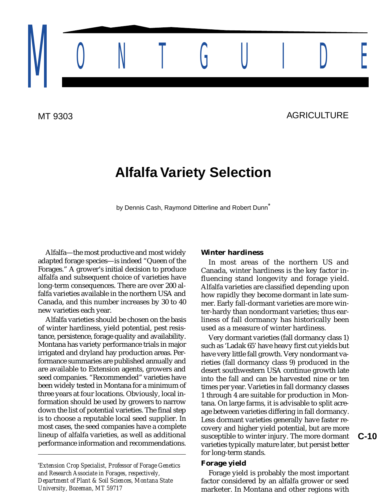## MT 9303 AGRICULTURE

# **Alfalfa Variety Selection**

NDNTGUIDE

by Dennis Cash, Raymond Ditterline and Robert Dunn<sup>®</sup>

Alfalfa—the most productive and most widely adapted forage species—is indeed "Queen of the Forages." A grower's initial decision to produce alfalfa and subsequent choice of varieties have long-term consequences. There are over 200 alfalfa varieties available in the northern USA and Canada, and this number increases by 30 to 40 new varieties each year.

Alfalfa varieties should be chosen on the basis of winter hardiness, yield potential, pest resistance, persistence, forage quality and availability. Montana has variety performance trials in major irrigated and dryland hay production areas. Performance summaries are published annually and are available to Extension agents, growers and seed companies. "Recommended" varieties have been widely tested in Montana for a minimum of three years at four locations. Obviously, local information should be used by growers to narrow down the list of potential varieties. The final step is to choose a reputable local seed supplier. In most cases, the seed companies have a complete lineup of alfalfa varieties, as well as additional performance information and recommendations.

#### *\* Extension Crop Specialist, Professor of Forage Genetics and Research Associate in Forages, respectively, Department of Plant & Soil Sciences, Montana State University, Bozeman, MT 59717*

#### **Winter hardiness**

In most areas of the northern US and Canada, winter hardiness is the key factor influencing stand longevity and forage yield. Alfalfa varieties are classified depending upon how rapidly they become dormant in late summer. Early fall-dormant varieties are more winter-hardy than nondormant varieties; thus earliness of fall dormancy has historically been used as a measure of winter hardiness.

Very dormant varieties (fall dormancy class 1) such as 'Ladak 65' have heavy first cut yields but have very little fall growth. Very nondormant varieties (fall dormancy class 9) produced in the desert southwestern USA continue growth late into the fall and can be harvested nine or ten times per year. Varieties in fall dormancy classes 1 through 4 are suitable for production in Montana. On large farms, it is advisable to split acreage between varieties differing in fall dormancy. Less dormant varieties generally have faster recovery and higher yield potential, but are more susceptible to winter injury. The more dormant varieties typically mature later, but persist better for long-term stands.

#### **Forage yield**

Forage yield is probably the most important factor considered by an alfalfa grower or seed marketer. In Montana and other regions with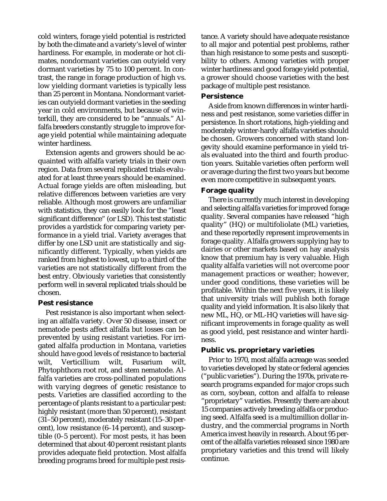cold winters, forage yield potential is restricted by both the climate and a variety's level of winter hardiness. For example, in moderate or hot climates, nondormant varieties can outyield very dormant varieties by 75 to 100 percent. In contrast, the range in forage production of high vs. low yielding dormant varieties is typically less than 25 percent in Montana. Nondormant varieties can outyield dormant varieties in the seeding year in cold environments, but because of winterkill, they are considered to be "annuals." Alfalfa breeders constantly struggle to improve forage yield potential while maintaining adequate winter hardiness.

Extension agents and growers should be acquainted with alfalfa variety trials in their own region. Data from several replicated trials evaluated for at least three years should be examined. Actual forage yields are often misleading, but relative differences between varieties are very reliable. Although most growers are unfamiliar with statistics, they can easily look for the "least significant difference" (or LSD). This test statistic provides a yardstick for comparing variety performance in a yield trial. Variety averages that differ by one LSD unit are statistically and significantly different. Typically, when yields are ranked from highest to lowest, up to a third of the varieties are not statistically different from the best entry. Obviously varieties that consistently perform well in several replicated trials should be chosen.

#### **Pest resistance**

Pest resistance is also important when selecting an alfalfa variety. Over 50 disease, insect or nematode pests affect alfalfa but losses can be prevented by using resistant varieties. For irrigated alfalfa production in Montana, varieties should have good levels of resistance to bacterial wilt, Verticillium wilt, Fusarium wilt, Phytophthora root rot, and stem nematode. Alfalfa varieties are cross-pollinated populations with varying degrees of genetic resistance to pests. Varieties are classified according to the percentage of plants resistant to a particular pest: highly resistant (more than 50 percent), resistant (31–50 percent), moderately resistant (15–30 percent), low resistance (6–14 percent), and susceptible (0–5 percent). For most pests, it has been determined that about 40 percent resistant plants provides adequate field protection. Most alfalfa breeding programs breed for multiple pest resistance. A variety should have adequate resistance to all major and potential pest problems, rather than high resistance to some pests and susceptibility to others. Among varieties with proper winter hardiness and good forage yield potential, a grower should choose varieties with the best package of multiple pest resistance.

#### **Persistence**

Aside from known differences in winter hardiness and pest resistance, some varieties differ in persistence. In short rotations, high-yielding and moderately winter-hardy alfalfa varieties should be chosen. Growers concerned with stand longevity should examine performance in yield trials evaluated into the third and fourth production years. Suitable varieties often perform well or average during the first two years but become even more competitive in subsequent years.

#### **Forage quality**

There is currently much interest in developing and selecting alfalfa varieties for improved forage quality. Several companies have released "high quality" (HQ) or multifoliolate (ML) varieties, and these reportedly represent improvements in forage quality. Alfalfa growers supplying hay to dairies or other markets based on hay analysis know that premium hay is very valuable. High quality alfalfa varieties will not overcome poor management practices or weather; however, under good conditions, these varieties will be profitable. Within the next five years, it is likely that university trials will publish both forage quality and yield information. It is also likely that new ML, HQ, or ML-HQ varieties will have significant improvements in forage quality as well as good yield, pest resistance and winter hardiness.

### **Public vs. proprietary varieties**

Prior to 1970, most alfalfa acreage was seeded to varieties developed by state or federal agencies ("public varieties"). During the 1970s, private research programs expanded for major crops such as corn, soybean, cotton and alfalfa to release "proprietary" varieties. Presently there are about 15 companies actively breeding alfalfa or producing seed. Alfalfa seed is a multimillion dollar industry, and the commercial programs in North America invest heavily in research. About 95 percent of the alfalfa varieties released since 1980 are proprietary varieties and this trend will likely continue.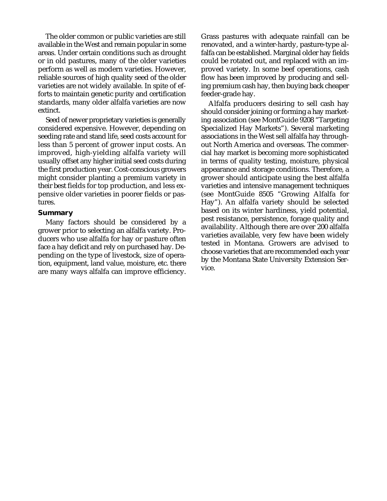The older common or public varieties are still available in the West and remain popular in some areas. Under certain conditions such as drought or in old pastures, many of the older varieties perform as well as modern varieties. However, reliable sources of high quality seed of the older varieties are not widely available. In spite of efforts to maintain genetic purity and certification standards, many older alfalfa varieties are now extinct.

Seed of newer proprietary varieties is generally considered expensive. However, depending on seeding rate and stand life, seed costs account for less than 5 percent of grower input costs. An improved, high-yielding alfalfa variety will usually offset any higher initial seed costs during the first production year. Cost-conscious growers might consider planting a premium variety in their best fields for top production, and less expensive older varieties in poorer fields or pastures.

#### **Summary**

Many factors should be considered by a grower prior to selecting an alfalfa variety. Producers who use alfalfa for hay or pasture often face a hay deficit and rely on purchased hay. Depending on the type of livestock, size of operation, equipment, land value, moisture, etc. there are many ways alfalfa can improve efficiency.

Grass pastures with adequate rainfall can be renovated, and a winter-hardy, pasture-type alfalfa can be established. Marginal older hay fields could be rotated out, and replaced with an improved variety. In some beef operations, cash flow has been improved by producing and selling premium cash hay, then buying back cheaper feeder-grade hay.

Alfalfa producers desiring to sell cash hay should consider joining or forming a hay marketing association (see MontGuide 9208 "Targeting Specialized Hay Markets"). Several marketing associations in the West sell alfalfa hay throughout North America and overseas. The commercial hay market is becoming more sophisticated in terms of quality testing, moisture, physical appearance and storage conditions. Therefore, a grower should anticipate using the best alfalfa varieties and intensive management techniques (see MontGuide 8505 "Growing Alfalfa for Hay"). An alfalfa variety should be selected based on its winter hardiness, yield potential, pest resistance, persistence, forage quality and availability. Although there are over 200 alfalfa varieties available, very few have been widely tested in Montana. Growers are advised to choose varieties that are recommended each year by the Montana State University Extension Service.